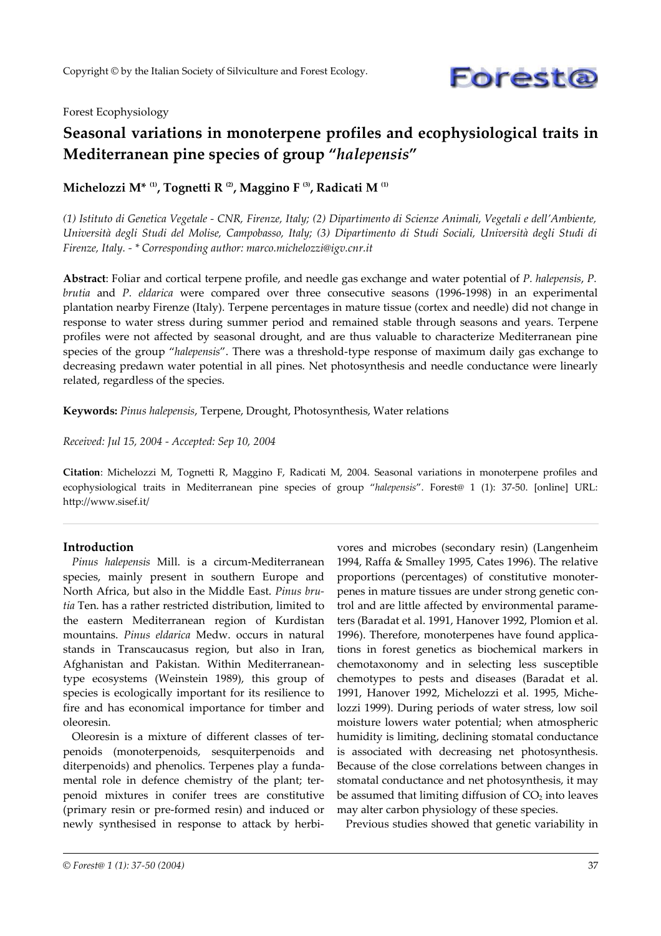

#### Forest Ecophysiology

# **Seasonal variations in monoterpene profiles and ecophysiological traits in Mediterranean pine species of group "***halepensis***"**

**Michelozzi M\* (1) , Tognetti R (2), Maggino F (3) , Radicati M (1)**

(1) Istituto di Genetica Vegetale - CNR, Firenze, Italy; (2) Dipartimento di Scienze Animali, Vegetali e dell'Ambiente, Università degli Studi del Molise, Campobasso, Italy; (3) Dipartimento di Studi Sociali, Università degli Studi di *Firenze, Italy. - \* Corresponding author: marco.michelozzi@igv.cnr.it*

**Abstract**: Foliar and cortical terpene profile, and needle gas exchange and water potential of *P. halepensis*, *P. brutia* and *P. eldarica* were compared over three consecutive seasons (1996-1998) in an experimental plantation nearby Firenze (Italy). Terpene percentages in mature tissue (cortex and needle) did not change in response to water stress during summer period and remained stable through seasons and years. Terpene profiles were not affected by seasonal drought, and are thus valuable to characterize Mediterranean pine species of the group "*halepensis*". There was a threshold-type response of maximum daily gas exchange to decreasing predawn water potential in all pines. Net photosynthesis and needle conductance were linearly related, regardless of the species.

**Keywords:** *Pinus halepensis*, Terpene, Drought, Photosynthesis, Water relations

#### *Received: Jul 15, 2004 - Accepted: Sep 10, 2004*

**Citation**: Michelozzi M, Tognetti R, Maggino F, Radicati M, 2004. Seasonal variations in monoterpene profiles and ecophysiological traits in Mediterranean pine species of group "*halepensis*". Forest@ 1 (1): 37-50. [online] URL: http://www.sisef.it/

#### **Introduction**

*Pinus halepensis* Mill. is a circum-Mediterranean species, mainly present in southern Europe and North Africa, but also in the Middle East. *Pinus brutia* Ten. has a rather restricted distribution, limited to the eastern Mediterranean region of Kurdistan mountains. *Pinus eldarica* Medw. occurs in natural stands in Transcaucasus region, but also in Iran, Afghanistan and Pakistan. Within Mediterraneantype ecosystems (Weinstein 1989), this group of species is ecologically important for its resilience to fire and has economical importance for timber and oleoresin.

Oleoresin is a mixture of different classes of terpenoids (monoterpenoids, sesquiterpenoids and diterpenoids) and phenolics. Terpenes play a fundamental role in defence chemistry of the plant; terpenoid mixtures in conifer trees are constitutive (primary resin or pre-formed resin) and induced or newly synthesised in response to attack by herbi-

vores and microbes (secondary resin) (Langenheim 1994, Raffa & Smalley 1995, Cates 1996). The relative proportions (percentages) of constitutive monoterpenes in mature tissues are under strong genetic control and are little affected by environmental parameters (Baradat et al. 1991, Hanover 1992, Plomion et al. 1996). Therefore, monoterpenes have found applications in forest genetics as biochemical markers in chemotaxonomy and in selecting less susceptible chemotypes to pests and diseases (Baradat et al. 1991, Hanover 1992, Michelozzi et al. 1995, Michelozzi 1999). During periods of water stress, low soil moisture lowers water potential; when atmospheric humidity is limiting, declining stomatal conductance is associated with decreasing net photosynthesis. Because of the close correlations between changes in stomatal conductance and net photosynthesis, it may be assumed that limiting diffusion of  $CO<sub>2</sub>$  into leaves may alter carbon physiology of these species.

Previous studies showed that genetic variability in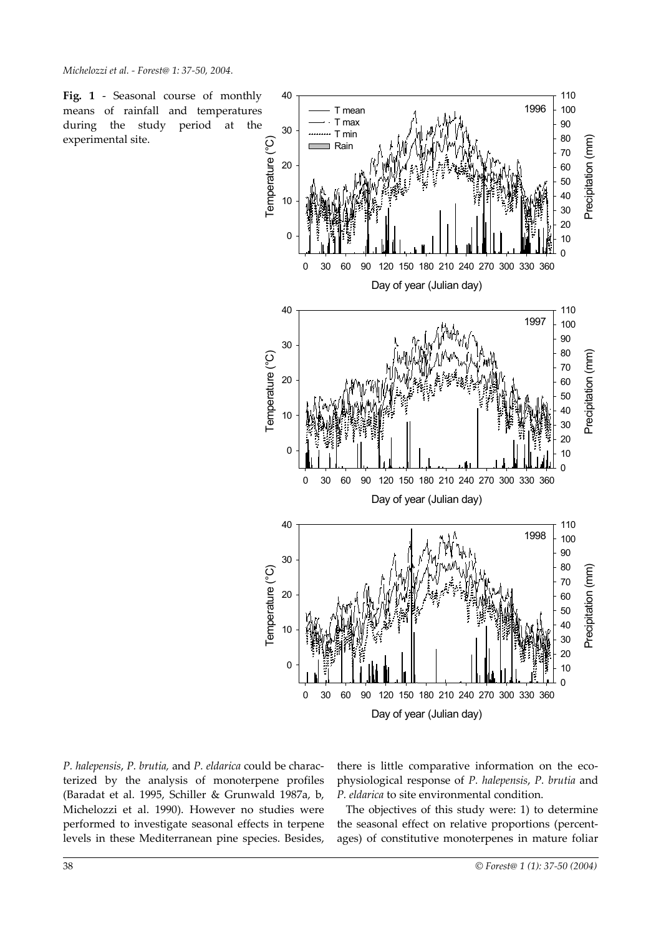**Fig. 1** - Seasonal course of monthly means of rainfall and temperatures during the study period at the experimental site.



*P. halepensis*, *P. brutia,* and *P. eldarica* could be characterized by the analysis of monoterpene profiles (Baradat et al. 1995, Schiller & Grunwald 1987a, b, Michelozzi et al. 1990). However no studies were performed to investigate seasonal effects in terpene levels in these Mediterranean pine species. Besides,

there is little comparative information on the ecophysiological response of *P. halepensis*, *P. brutia* and *P. eldarica* to site environmental condition.

The objectives of this study were: 1) to determine the seasonal effect on relative proportions (percentages) of constitutive monoterpenes in mature foliar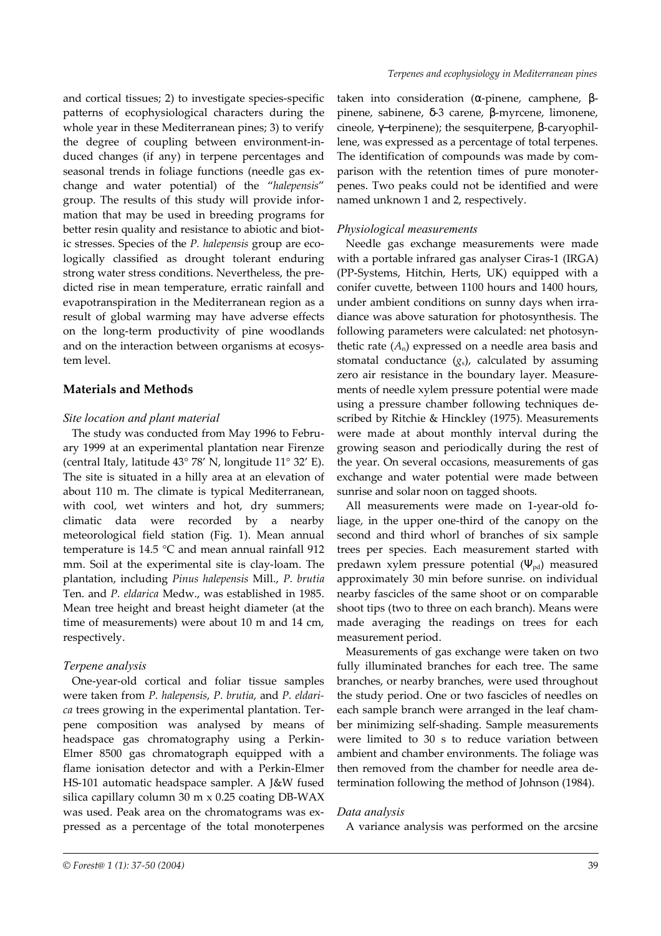and cortical tissues; 2) to investigate species-specific patterns of ecophysiological characters during the whole year in these Mediterranean pines; 3) to verify the degree of coupling between environment-induced changes (if any) in terpene percentages and seasonal trends in foliage functions (needle gas exchange and water potential) of the "*halepensis*" group. The results of this study will provide information that may be used in breeding programs for better resin quality and resistance to abiotic and biotic stresses. Species of the *P. halepensis* group are ecologically classified as drought tolerant enduring strong water stress conditions. Nevertheless, the predicted rise in mean temperature, erratic rainfall and evapotranspiration in the Mediterranean region as a result of global warming may have adverse effects on the long-term productivity of pine woodlands and on the interaction between organisms at ecosystem level.

# **Materials and Methods**

#### *Site location and plant material*

The study was conducted from May 1996 to February 1999 at an experimental plantation near Firenze (central Italy, latitude 43° 78' N, longitude 11° 32' E). The site is situated in a hilly area at an elevation of about 110 m. The climate is typical Mediterranean, with cool, wet winters and hot, dry summers; climatic data were recorded by a nearby meteorological field station (Fig. 1). Mean annual temperature is 14.5 °C and mean annual rainfall 912 mm. Soil at the experimental site is clay-loam. The plantation, including *Pinus halepensis* Mill., *P. brutia* Ten. and *P. eldarica* Medw., was established in 1985. Mean tree height and breast height diameter (at the time of measurements) were about 10 m and 14 cm, respectively.

#### *Terpene analysis*

One-year-old cortical and foliar tissue samples were taken from *P. halepensis*, *P. brutia*, and *P. eldarica* trees growing in the experimental plantation. Terpene composition was analysed by means of headspace gas chromatography using a Perkin-Elmer 8500 gas chromatograph equipped with a flame ionisation detector and with a Perkin-Elmer HS-101 automatic headspace sampler. A J&W fused silica capillary column 30 m x 0.25 coating DB-WAX was used. Peak area on the chromatograms was expressed as a percentage of the total monoterpenes

taken into consideration (α-pinene, camphene, βpinene, sabinene, δ-3 carene, β-myrcene, limonene, cineole, γ−terpinene); the sesquiterpene, β-caryophillene, was expressed as a percentage of total terpenes. The identification of compounds was made by comparison with the retention times of pure monoterpenes. Two peaks could not be identified and were named unknown 1 and 2, respectively.

### *Physiological measurements*

Needle gas exchange measurements were made with a portable infrared gas analyser Ciras-1 (IRGA) (PP-Systems, Hitchin, Herts, UK) equipped with a conifer cuvette, between 1100 hours and 1400 hours, under ambient conditions on sunny days when irradiance was above saturation for photosynthesis. The following parameters were calculated: net photosynthetic rate  $(A_n)$  expressed on a needle area basis and stomatal conductance  $(g_s)$ , calculated by assuming zero air resistance in the boundary layer. Measurements of needle xylem pressure potential were made using a pressure chamber following techniques described by Ritchie & Hinckley (1975). Measurements were made at about monthly interval during the growing season and periodically during the rest of the year. On several occasions, measurements of gas exchange and water potential were made between sunrise and solar noon on tagged shoots.

All measurements were made on 1-year-old foliage, in the upper one-third of the canopy on the second and third whorl of branches of six sample trees per species. Each measurement started with predawn xylem pressure potential  $(\Psi_{pd})$  measured approximately 30 min before sunrise. on individual nearby fascicles of the same shoot or on comparable shoot tips (two to three on each branch). Means were made averaging the readings on trees for each measurement period.

Measurements of gas exchange were taken on two fully illuminated branches for each tree. The same branches, or nearby branches, were used throughout the study period. One or two fascicles of needles on each sample branch were arranged in the leaf chamber minimizing self-shading. Sample measurements were limited to 30 s to reduce variation between ambient and chamber environments. The foliage was then removed from the chamber for needle area determination following the method of Johnson (1984).

#### *Data analysis*

A variance analysis was performed on the arcsine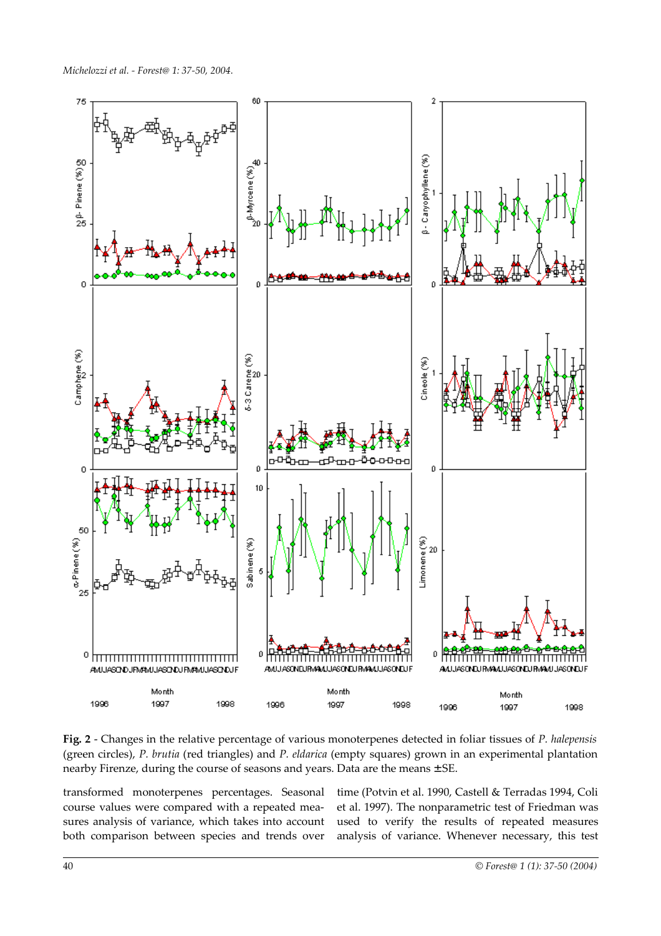

**Fig. 2** - Changes in the relative percentage of various monoterpenes detected in foliar tissues of *P. halepensis* (green circles), *P. brutia* (red triangles) and *P. eldarica* (empty squares) grown in an experimental plantation nearby Firenze, during the course of seasons and years. Data are the means ± SE.

transformed monoterpenes percentages. Seasonal course values were compared with a repeated measures analysis of variance, which takes into account both comparison between species and trends over time (Potvin et al. 1990, Castell & Terradas 1994, Coli et al. 1997). The nonparametric test of Friedman was used to verify the results of repeated measures analysis of variance. Whenever necessary, this test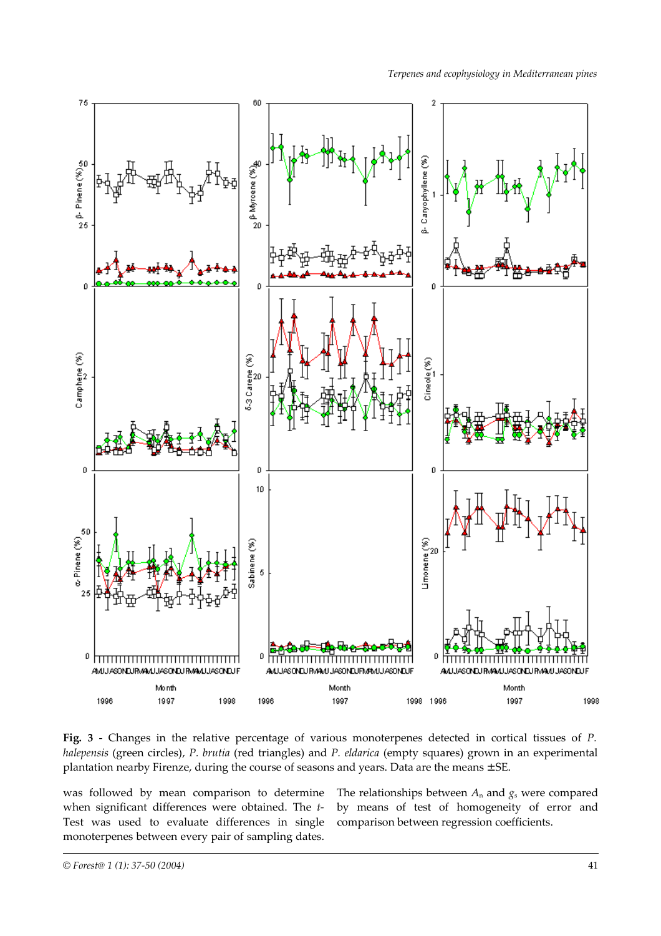

**Fig. 3** - Changes in the relative percentage of various monoterpenes detected in cortical tissues of *P. halepensis* (green circles), *P. brutia* (red triangles) and *P. eldarica* (empty squares) grown in an experimental plantation nearby Firenze, during the course of seasons and years. Data are the means ± SE.

was followed by mean comparison to determine when significant differences were obtained. The *t*-Test was used to evaluate differences in single monoterpenes between every pair of sampling dates.

The relationships between  $A_n$  and  $g_s$  were compared by means of test of homogeneity of error and comparison between regression coefficients.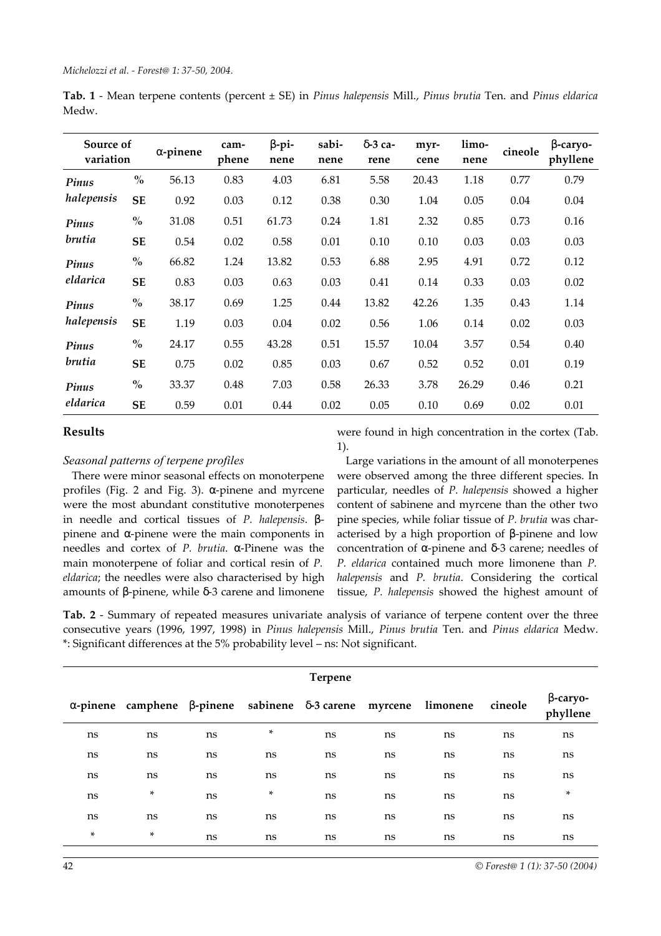**Tab. 1** - Mean terpene contents (percent ± SE) in *Pinus halepensis* Mill., *Pinus brutia* Ten. and *Pinus eldarica* Medw.

| Source of<br>variation |                                    | $\alpha$ -pinene | cam-<br>phene | $\beta$ -pi-<br>nene | sabi-<br>nene | $\delta$ -3 ca-<br>rene | myr-<br>cene | limo-<br>nene | cineole | $\beta$ -caryo-<br>phyllene |
|------------------------|------------------------------------|------------------|---------------|----------------------|---------------|-------------------------|--------------|---------------|---------|-----------------------------|
| Pinus                  | $\frac{0}{0}$                      | 56.13            | 0.83          | 4.03                 | 6.81          | 5.58                    | 20.43        | 1.18          | 0.77    | 0.79                        |
| halepensis             | <b>SE</b>                          | 0.92             | 0.03          | 0.12                 | 0.38          | 0.30                    | 1.04         | 0.05          | 0.04    | 0.04                        |
| Pinus<br>brutia        | $\mathbf{0}_{\mathbf{0}}^{\prime}$ | 31.08            | 0.51          | 61.73                | 0.24          | 1.81                    | 2.32         | 0.85          | 0.73    | 0.16                        |
|                        | <b>SE</b>                          | 0.54             | 0.02          | 0.58                 | 0.01          | 0.10                    | 0.10         | 0.03          | 0.03    | 0.03                        |
| Pinus                  | $\mathbf{0}_{\mathbf{0}}^{\prime}$ | 66.82            | 1.24          | 13.82                | 0.53          | 6.88                    | 2.95         | 4.91          | 0.72    | 0.12                        |
| eldarica               | <b>SE</b>                          | 0.83             | 0.03          | 0.63                 | 0.03          | 0.41                    | 0.14         | 0.33          | 0.03    | 0.02                        |
| Pinus                  | $\mathbf{0}_{\mathbf{0}}^{\prime}$ | 38.17            | 0.69          | 1.25                 | 0.44          | 13.82                   | 42.26        | 1.35          | 0.43    | 1.14                        |
| halepensis             | <b>SE</b>                          | 1.19             | 0.03          | 0.04                 | 0.02          | 0.56                    | 1.06         | 0.14          | 0.02    | 0.03                        |
| Pinus                  | $\mathbf{0}_{\mathbf{0}}^{\prime}$ | 24.17            | 0.55          | 43.28                | 0.51          | 15.57                   | 10.04        | 3.57          | 0.54    | 0.40                        |
| brutia                 | <b>SE</b>                          | 0.75             | 0.02          | 0.85                 | 0.03          | 0.67                    | 0.52         | 0.52          | 0.01    | 0.19                        |
| Pinus                  | $\frac{0}{0}$                      | 33.37            | 0.48          | 7.03                 | 0.58          | 26.33                   | 3.78         | 26.29         | 0.46    | 0.21                        |
| eldarica               | <b>SE</b>                          | 0.59             | 0.01          | 0.44                 | 0.02          | 0.05                    | 0.10         | 0.69          | 0.02    | 0.01                        |

# **Results**

#### *Seasonal patterns of terpene profiles*

There were minor seasonal effects on monoterpene profiles (Fig. 2 and Fig. 3). α-pinene and myrcene were the most abundant constitutive monoterpenes in needle and cortical tissues of *P. halepensis*. βpinene and α-pinene were the main components in needles and cortex of *P. brutia*. α-Pinene was the main monoterpene of foliar and cortical resin of *P. eldarica*; the needles were also characterised by high amounts of β-pinene, while δ-3 carene and limonene were found in high concentration in the cortex (Tab. 1).

Large variations in the amount of all monoterpenes were observed among the three different species. In particular, needles of *P. halepensis* showed a higher content of sabinene and myrcene than the other two pine species, while foliar tissue of *P. brutia* was characterised by a high proportion of β-pinene and low concentration of α-pinene and δ-3 carene; needles of *P. eldarica* contained much more limonene than *P. halepensis* and *P. brutia*. Considering the cortical tissue, *P. halepensis* showed the highest amount of

**Tab. 2** - Summary of repeated measures univariate analysis of variance of terpene content over the three consecutive years (1996, 1997, 1998) in *Pinus halepensis* Mill., *Pinus brutia* Ten. and *Pinus eldarica* Medw. \*: Significant differences at the 5% probability level – ns: Not significant.

| <b>Terpene</b> |                                                                                        |    |    |    |    |    |         |                             |  |  |
|----------------|----------------------------------------------------------------------------------------|----|----|----|----|----|---------|-----------------------------|--|--|
|                | $\alpha$ -pinene camphene $\beta$ -pinene sabinene $\delta$ -3 carene myrcene limonene |    |    |    |    |    | cineole | $\beta$ -caryo-<br>phyllene |  |  |
| ns             | ns                                                                                     | ns | ×  | ns | ns | ns | ns      | ns                          |  |  |
| ns             | ns                                                                                     | ns | ns | ns | ns | ns | ns      | ns                          |  |  |
| ns             | ns                                                                                     | ns | ns | ns | ns | ns | ns      | ns                          |  |  |
| ns             | ×                                                                                      | ns | ×  | ns | ns | ns | ns      | ×                           |  |  |
| ns             | ns                                                                                     | ns | ns | ns | ns | ns | ns      | ns                          |  |  |
| ×              | ×                                                                                      | ns | ns | ns | ns | ns | ns      | ns                          |  |  |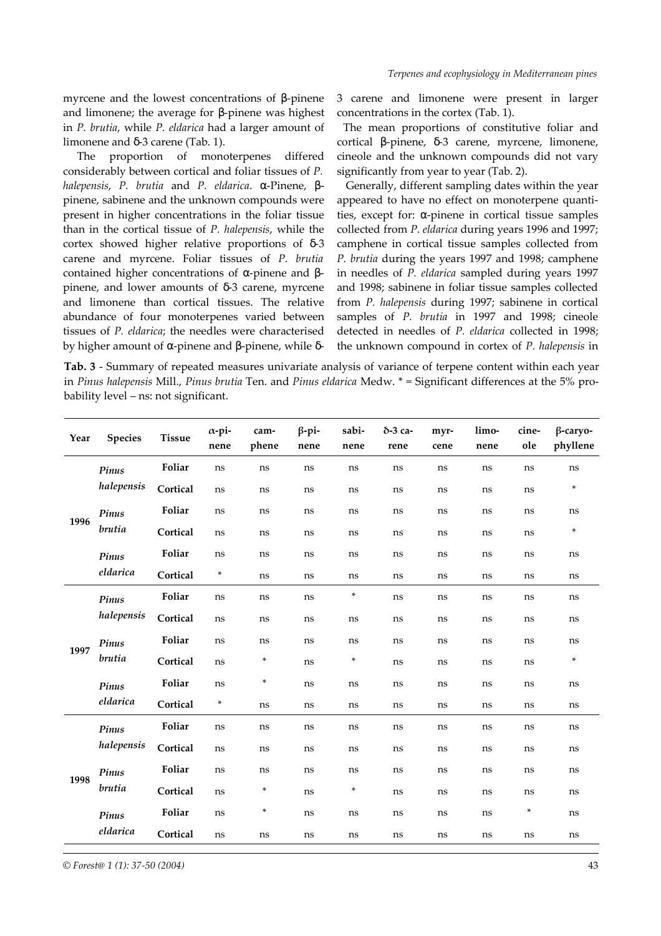myrcene and the lowest concentrations of β-pinene and limonene; the average for β-pinene was highest in *P. brutia*, while *P. eldarica* had a larger amount of limonene and δ-3 carene (Tab. 1).

The proportion of monoterpenes differed considerably between cortical and foliar tissues of *P. halepensis*, *P. brutia* and *P. eldarica*. α-Pinene, βpinene, sabinene and the unknown compounds were present in higher concentrations in the foliar tissue than in the cortical tissue of *P. halepensis*, while the cortex showed higher relative proportions of δ-3 carene and myrcene. Foliar tissues of *P. brutia* contained higher concentrations of α-pinene and βpinene, and lower amounts of δ-3 carene, myrcene and limonene than cortical tissues. The relative abundance of four monoterpenes varied between tissues of *P. eldarica*; the needles were characterised by higher amount of α-pinene and β-pinene, while δ3 carene and limonene were present in larger concentrations in the cortex (Tab. 1).

The mean proportions of constitutive foliar and cortical β-pinene, δ-3 carene, myrcene, limonene, cineole and the unknown compounds did not vary significantly from year to year (Tab. 2).

Generally, different sampling dates within the year appeared to have no effect on monoterpene quantities, except for: α-pinene in cortical tissue samples collected from *P. eldarica* during years 1996 and 1997; camphene in cortical tissue samples collected from *P. brutia* during the years 1997 and 1998; camphene in needles of *P. eldarica* sampled during years 1997 and 1998; sabinene in foliar tissue samples collected from *P. halepensis* during 1997; sabinene in cortical samples of *P. brutia* in 1997 and 1998; cineole detected in needles of *P. eldarica* collected in 1998; the unknown compound in cortex of *P. halepensis* in

**Tab. 3** - Summary of repeated measures univariate analysis of variance of terpene content within each year in *Pinus halepensis* Mill., *Pinus brutia* Ten. and *Pinus eldarica* Medw. \* = Significant differences at the 5% probability level – ns: not significant.

| Year | <b>Species</b>  | <b>Tissue</b> | $\alpha$ -pi-<br>nene | cam-<br>phene | $\beta$ -pi-<br>nene | sabi-<br>nene | δ-3 са-<br>rene | myr-<br>cene | limo-<br>nene | cine-<br>ole | $\beta$ -caryo-<br>phyllene |
|------|-----------------|---------------|-----------------------|---------------|----------------------|---------------|-----------------|--------------|---------------|--------------|-----------------------------|
| 1996 | Pinus           | Foliar        | ns                    | ns            | ns                   | ns            | ns              | ns           | ns            | ns           | ns                          |
|      | halepensis      | Cortical      | ns                    | ns            | ns                   | ns            | ns              | ns           | ns            | ns           | *                           |
|      | Pinus           | Foliar        | ns                    | ns            | ns                   | ns            | ns              | ns           | ns            | ns           | ns                          |
|      | brutia          | Cortical      | ns                    | ns            | ns                   | ns            | ns              | ns           | ns            | ns           | *                           |
|      | Pinus           | Foliar        | ns                    | ns            | ns                   | ns            | ns              | ns           | ns            | ns           | ns                          |
|      | eldarica        | Cortical      | *                     | ns            | ns                   | ns            | ns              | ns           | ns            | ns           | ns                          |
| 1997 | Pinus           | Foliar        | ns                    | ns            | ns                   | $\ast$        | ns              | ns           | ns            | ns           | ns                          |
|      | halepensis      | Cortical      | ns                    | ns            | ns                   | ns            | ns              | ns           | ns            | ns           | ns                          |
|      | Pinus<br>brutia | Foliar        | ns                    | ns            | ns                   | ns            | ns              | ns           | ns            | ns           | ns                          |
|      |                 | Cortical      | ns                    | *             | ns                   | $\ast$        | ns              | ns           | ns            | ns           | *                           |
|      | Pinus           | Foliar        | ns                    | *             | ns                   | ns            | ns              | ns           | ns            | ns           | ns                          |
|      | eldarica        | Cortical      | *                     | ns            | ns                   | ns            | ns              | ns           | ns            | ns           | ns                          |
|      | Pinus           | Foliar        | ns                    | ns            | ns                   | ns            | ns              | ns           | ns            | ns           | ns                          |
| 1998 | halepensis      | Cortical      | ns                    | ns            | ns                   | ns            | ns              | ns           | ns            | ns           | ns                          |
|      | Pinus<br>brutia | Foliar        | ns                    | ns            | ns                   | ns            | ns              | ns           | ns            | ns           | ns                          |
|      |                 | Cortical      | ns                    | *             | ns                   | *             | ns              | ns           | ns            | ns           | ns                          |
|      | Pinus           | Foliar        | ns                    | $\ast$        | ns                   | ns            | ns              | ns           | ns            | *            | ns                          |
|      | eldarica        | Cortical      | ns                    | ns            | ns                   | ns            | ns              | ns           | ns            | ns           | ns                          |

*© Forest@ 1 (1): 37-50 (2004)* 43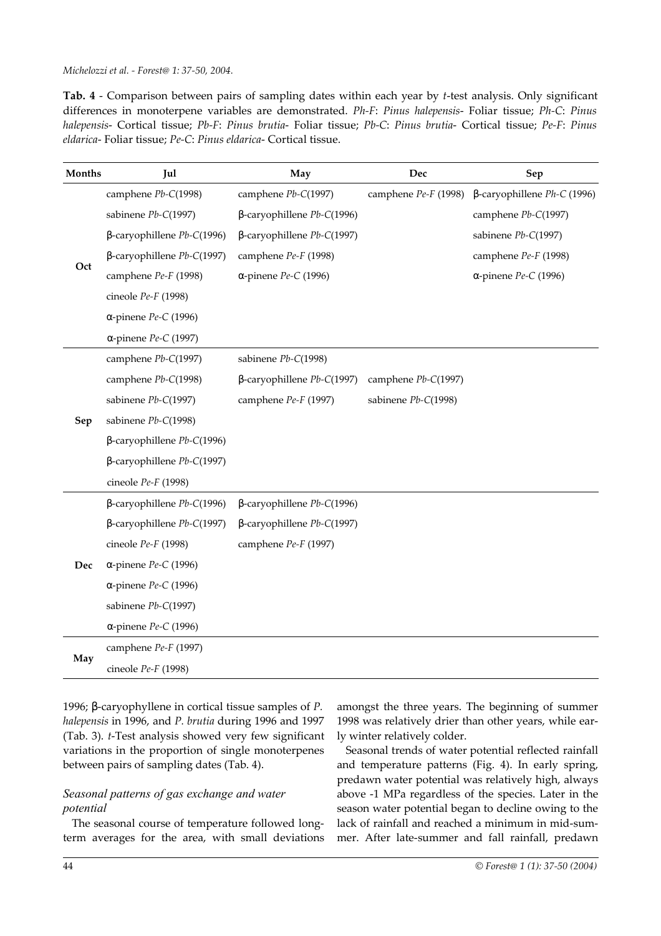**Tab. 4** - Comparison between pairs of sampling dates within each year by *t*-test analysis. Only significant differences in monoterpene variables are demonstrated. *Ph-F*: *Pinus halepensis*- Foliar tissue; *Ph-C*: *Pinus halepensis*- Cortical tissue; *Pb-F*: *Pinus brutia*- Foliar tissue; *Pb-C*: *Pinus brutia*- Cortical tissue; *Pe-F*: *Pinus eldarica*- Foliar tissue; *Pe-C*: *Pinus eldarica*- Cortical tissue.

| Months | Jul                               | May                               | Dec                     | Sep                            |
|--------|-----------------------------------|-----------------------------------|-------------------------|--------------------------------|
|        | camphene Pb-C(1998)               | camphene Pb-C(1997)               | camphene $Pe$ -F (1998) | $β$ -caryophillene Ph-C (1996) |
|        | sabinene Pb-C(1997)               | $\beta$ -caryophillene Pb-C(1996) |                         | camphene Pb-C(1997)            |
|        | $\beta$ -caryophillene Pb-C(1996) | $β$ -caryophillene $Pb-C(1997)$   |                         | sabinene Pb-C(1997)            |
|        | $\beta$ -caryophillene Pb-C(1997) | camphene Pe-F (1998)              |                         | camphene Pe-F (1998)           |
| Oct    | camphene Pe-F (1998)              | $\alpha$ -pinene Pe-C (1996)      |                         | $\alpha$ -pinene Pe-C (1996)   |
|        | cineole Pe-F (1998)               |                                   |                         |                                |
|        | α-pinene $Pe$ -C (1996)           |                                   |                         |                                |
|        | $\alpha$ -pinene Pe-C (1997)      |                                   |                         |                                |
|        | camphene Pb-C(1997)               | sabinene Pb-C(1998)               |                         |                                |
|        | camphene Pb-C(1998)               | $β$ -caryophillene $Pb-C(1997)$   | camphene Pb-C(1997)     |                                |
|        | sabinene Pb-C(1997)               | camphene Pe-F (1997)              | sabinene Pb-C(1998)     |                                |
| Sep    | sabinene Pb-C(1998)               |                                   |                         |                                |
|        | $\beta$ -caryophillene Pb-C(1996) |                                   |                         |                                |
|        | $\beta$ -caryophillene Pb-C(1997) |                                   |                         |                                |
|        | cineole $Pe$ -F (1998)            |                                   |                         |                                |
|        | $\beta$ -caryophillene Pb-C(1996) | $β$ -caryophillene $Pb-C(1996)$   |                         |                                |
|        | $\beta$ -caryophillene Pb-C(1997) | $β$ -caryophillene $Pb-C(1997)$   |                         |                                |
|        | cineole $Pe$ - $F$ (1998)         | camphene Pe-F (1997)              |                         |                                |
| Dec    | $\alpha$ -pinene Pe-C (1996)      |                                   |                         |                                |
|        | $\alpha$ -pinene Pe-C (1996)      |                                   |                         |                                |
|        | sabinene Pb-C(1997)               |                                   |                         |                                |
|        | $\alpha$ -pinene Pe-C (1996)      |                                   |                         |                                |
|        | camphene Pe-F (1997)              |                                   |                         |                                |
| May    | cineole $Pe$ -F (1998)            |                                   |                         |                                |

1996; β-caryophyllene in cortical tissue samples of *P. halepensis* in 1996, and *P. brutia* during 1996 and 1997 (Tab. 3). *t*-Test analysis showed very few significant variations in the proportion of single monoterpenes between pairs of sampling dates (Tab. 4).

# *Seasonal patterns of gas exchange and water potential*

The seasonal course of temperature followed longterm averages for the area, with small deviations

amongst the three years. The beginning of summer 1998 was relatively drier than other years, while early winter relatively colder.

Seasonal trends of water potential reflected rainfall and temperature patterns (Fig. 4). In early spring, predawn water potential was relatively high, always above -1 MPa regardless of the species. Later in the season water potential began to decline owing to the lack of rainfall and reached a minimum in mid-summer. After late-summer and fall rainfall, predawn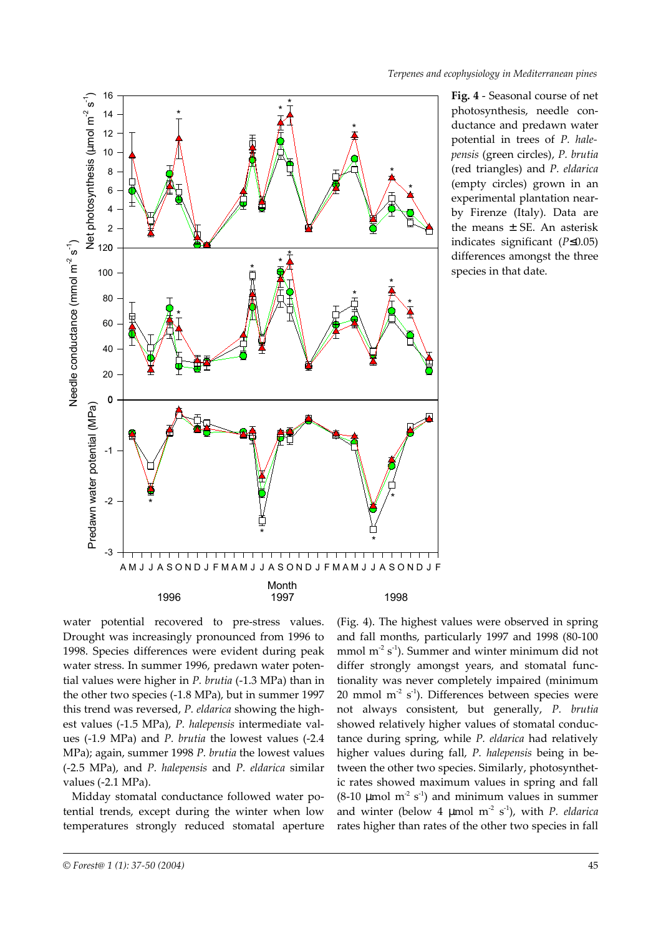

**Fig. 4** - Seasonal course of net photosynthesis, needle conductance and predawn water potential in trees of *P. halepensis* (green circles), *P. brutia* (red triangles) and *P. eldarica* (empty circles) grown in an experimental plantation nearby Firenze (Italy). Data are the means  $\pm$  SE. An asterisk indicates significant (*P*≤0.05) differences amongst the three species in that date.

water potential recovered to pre-stress values. Drought was increasingly pronounced from 1996 to 1998. Species differences were evident during peak water stress. In summer 1996, predawn water potential values were higher in *P. brutia* (-1.3 MPa) than in the other two species (-1.8 MPa), but in summer 1997 this trend was reversed, *P. eldarica* showing the highest values (-1.5 MPa), *P. halepensis* intermediate values (-1.9 MPa) and *P. brutia* the lowest values (-2.4 MPa); again, summer 1998 *P. brutia* the lowest values (-2.5 MPa), and *P. halepensis* and *P. eldarica* similar values (-2.1 MPa).

Midday stomatal conductance followed water potential trends, except during the winter when low temperatures strongly reduced stomatal aperture

(Fig. 4). The highest values were observed in spring and fall months, particularly 1997 and 1998 (80-100 mmol m<sup>-2</sup> s<sup>-1</sup>). Summer and winter minimum did not differ strongly amongst years, and stomatal functionality was never completely impaired (minimum 20 mmol  $m^2 s^1$ ). Differences between species were not always consistent, but generally, *P. brutia* showed relatively higher values of stomatal conductance during spring, while *P. eldarica* had relatively higher values during fall, *P. halepensis* being in between the other two species. Similarly, photosynthetic rates showed maximum values in spring and fall  $(8-10 \mu \text{mol m}^2 \text{ s}^1)$  and minimum values in summer and winter (below 4 µmol m<sup>-2</sup> s<sup>-1</sup>), with *P. eldarica* rates higher than rates of the other two species in fall

*<sup>©</sup> Forest@ 1 (1): 37-50 (2004)* 45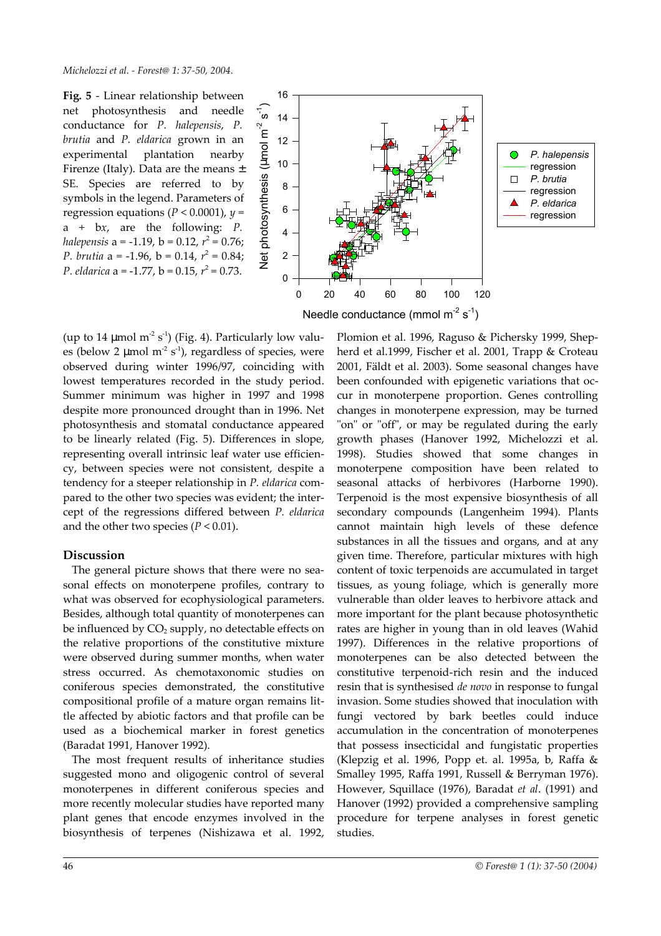**Fig. 5** - Linear relationship between net photosynthesis and needle conductance for *P. halepensis*, *P. brutia* and *P. eldarica* grown in an experimental plantation nearby Firenze (Italy). Data are the means  $\pm$ SE. Species are referred to by symbols in the legend. Parameters of regression equations ( $P < 0.0001$ ),  $y =$ a + b*x*, are the following: *P. halepensis* a = -1.19, b = 0.12, *r* 2 = 0.76; *P. brutia*  $a = -1.96$ ,  $b = 0.14$ ,  $r^2 = 0.84$ ; *P. eldarica* a = -1.77, b = 0.15,  $r^2$  = 0.73.



(up to 14  $\mu$ mol m<sup>-2</sup> s<sup>-1</sup>) (Fig. 4). Particularly low values (below 2 µmol  $m^2$  s<sup>-1</sup>), regardless of species, were observed during winter 1996/97, coinciding with lowest temperatures recorded in the study period. Summer minimum was higher in 1997 and 1998 despite more pronounced drought than in 1996. Net photosynthesis and stomatal conductance appeared to be linearly related (Fig. 5). Differences in slope, representing overall intrinsic leaf water use efficiency, between species were not consistent, despite a tendency for a steeper relationship in *P. eldarica* compared to the other two species was evident; the intercept of the regressions differed between *P. eldarica* and the other two species  $(P < 0.01)$ .

# **Discussion**

The general picture shows that there were no seasonal effects on monoterpene profiles, contrary to what was observed for ecophysiological parameters. Besides, although total quantity of monoterpenes can be influenced by  $CO<sub>2</sub>$  supply, no detectable effects on the relative proportions of the constitutive mixture were observed during summer months, when water stress occurred. As chemotaxonomic studies on coniferous species demonstrated, the constitutive compositional profile of a mature organ remains little affected by abiotic factors and that profile can be used as a biochemical marker in forest genetics (Baradat 1991, Hanover 1992).

The most frequent results of inheritance studies suggested mono and oligogenic control of several monoterpenes in different coniferous species and more recently molecular studies have reported many plant genes that encode enzymes involved in the biosynthesis of terpenes (Nishizawa et al. 1992,

Plomion et al. 1996, Raguso & Pichersky 1999, Shepherd et al.1999, Fischer et al. 2001, Trapp & Croteau 2001, Fäldt et al. 2003). Some seasonal changes have been confounded with epigenetic variations that occur in monoterpene proportion. Genes controlling changes in monoterpene expression, may be turned "on" or "off", or may be regulated during the early growth phases (Hanover 1992, Michelozzi et al. 1998). Studies showed that some changes in monoterpene composition have been related to seasonal attacks of herbivores (Harborne 1990). Terpenoid is the most expensive biosynthesis of all secondary compounds (Langenheim 1994). Plants cannot maintain high levels of these defence substances in all the tissues and organs, and at any given time. Therefore, particular mixtures with high content of toxic terpenoids are accumulated in target tissues, as young foliage, which is generally more vulnerable than older leaves to herbivore attack and more important for the plant because photosynthetic rates are higher in young than in old leaves (Wahid 1997). Differences in the relative proportions of monoterpenes can be also detected between the constitutive terpenoid-rich resin and the induced resin that is synthesised *de novo* in response to fungal invasion. Some studies showed that inoculation with fungi vectored by bark beetles could induce accumulation in the concentration of monoterpenes that possess insecticidal and fungistatic properties (Klepzig et al. 1996, Popp et. al. 1995a, b, Raffa & Smalley 1995, Raffa 1991, Russell & Berryman 1976). However, Squillace (1976), Baradat *et al*. (1991) and Hanover (1992) provided a comprehensive sampling procedure for terpene analyses in forest genetic studies.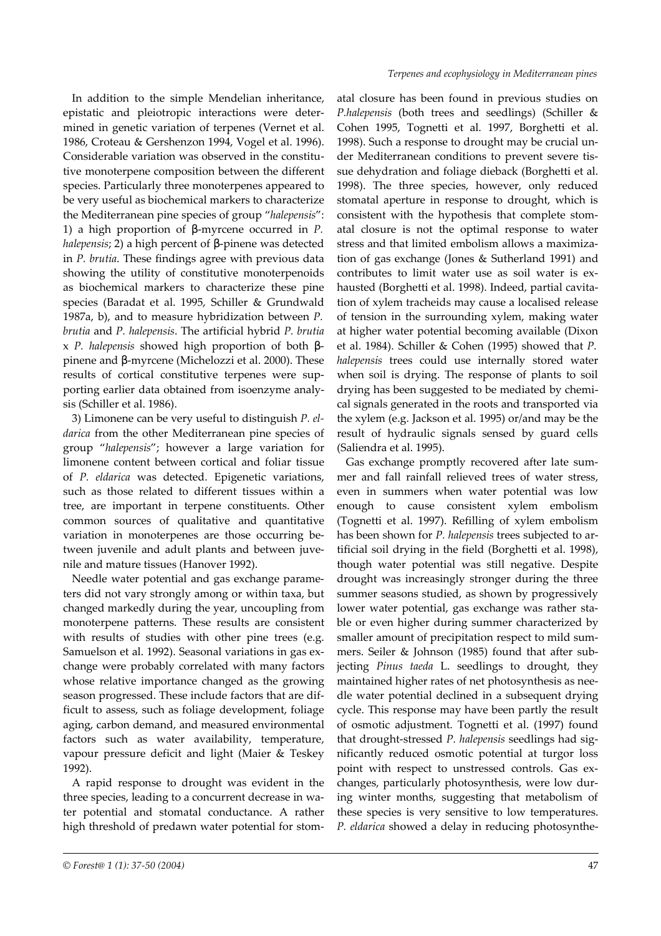In addition to the simple Mendelian inheritance, epistatic and pleiotropic interactions were determined in genetic variation of terpenes (Vernet et al. 1986, Croteau & Gershenzon 1994, Vogel et al. 1996). Considerable variation was observed in the constitutive monoterpene composition between the different species. Particularly three monoterpenes appeared to be very useful as biochemical markers to characterize the Mediterranean pine species of group "*halepensis*": 1) a high proportion of β-myrcene occurred in *P. halepensis*; 2) a high percent of β-pinene was detected in *P. brutia*. These findings agree with previous data showing the utility of constitutive monoterpenoids as biochemical markers to characterize these pine species (Baradat et al. 1995, Schiller & Grundwald 1987a, b), and to measure hybridization between *P. brutia* and *P. halepensis*. The artificial hybrid *P. brutia* x *P. halepensis* showed high proportion of both βpinene and β-myrcene (Michelozzi et al. 2000). These results of cortical constitutive terpenes were supporting earlier data obtained from isoenzyme analysis (Schiller et al. 1986).

3) Limonene can be very useful to distinguish *P. eldarica* from the other Mediterranean pine species of group "*halepensis*"; however a large variation for limonene content between cortical and foliar tissue of *P. eldarica* was detected. Epigenetic variations, such as those related to different tissues within a tree, are important in terpene constituents. Other common sources of qualitative and quantitative variation in monoterpenes are those occurring between juvenile and adult plants and between juvenile and mature tissues (Hanover 1992).

Needle water potential and gas exchange parameters did not vary strongly among or within taxa, but changed markedly during the year, uncoupling from monoterpene patterns. These results are consistent with results of studies with other pine trees (e.g. Samuelson et al. 1992). Seasonal variations in gas exchange were probably correlated with many factors whose relative importance changed as the growing season progressed. These include factors that are difficult to assess, such as foliage development, foliage aging, carbon demand, and measured environmental factors such as water availability, temperature, vapour pressure deficit and light (Maier & Teskey 1992).

A rapid response to drought was evident in the three species, leading to a concurrent decrease in water potential and stomatal conductance. A rather high threshold of predawn water potential for stom-

atal closure has been found in previous studies on *P.halepensis* (both trees and seedlings) (Schiller & Cohen 1995, Tognetti et al. 1997, Borghetti et al. 1998). Such a response to drought may be crucial under Mediterranean conditions to prevent severe tissue dehydration and foliage dieback (Borghetti et al. 1998). The three species, however, only reduced stomatal aperture in response to drought, which is consistent with the hypothesis that complete stomatal closure is not the optimal response to water stress and that limited embolism allows a maximization of gas exchange (Jones & Sutherland 1991) and contributes to limit water use as soil water is exhausted (Borghetti et al. 1998). Indeed, partial cavitation of xylem tracheids may cause a localised release of tension in the surrounding xylem, making water at higher water potential becoming available (Dixon et al. 1984). Schiller & Cohen (1995) showed that *P. halepensis* trees could use internally stored water when soil is drying. The response of plants to soil drying has been suggested to be mediated by chemical signals generated in the roots and transported via the xylem (e.g. Jackson et al. 1995) or/and may be the result of hydraulic signals sensed by guard cells (Saliendra et al. 1995).

Gas exchange promptly recovered after late summer and fall rainfall relieved trees of water stress, even in summers when water potential was low enough to cause consistent xylem embolism (Tognetti et al. 1997). Refilling of xylem embolism has been shown for *P. halepensis* trees subjected to artificial soil drying in the field (Borghetti et al. 1998), though water potential was still negative. Despite drought was increasingly stronger during the three summer seasons studied, as shown by progressively lower water potential, gas exchange was rather stable or even higher during summer characterized by smaller amount of precipitation respect to mild summers. Seiler & Johnson (1985) found that after subjecting *Pinus taeda* L. seedlings to drought, they maintained higher rates of net photosynthesis as needle water potential declined in a subsequent drying cycle. This response may have been partly the result of osmotic adjustment. Tognetti et al. (1997) found that drought-stressed *P. halepensis* seedlings had significantly reduced osmotic potential at turgor loss point with respect to unstressed controls. Gas exchanges, particularly photosynthesis, were low during winter months, suggesting that metabolism of these species is very sensitive to low temperatures. *P. eldarica* showed a delay in reducing photosynthe-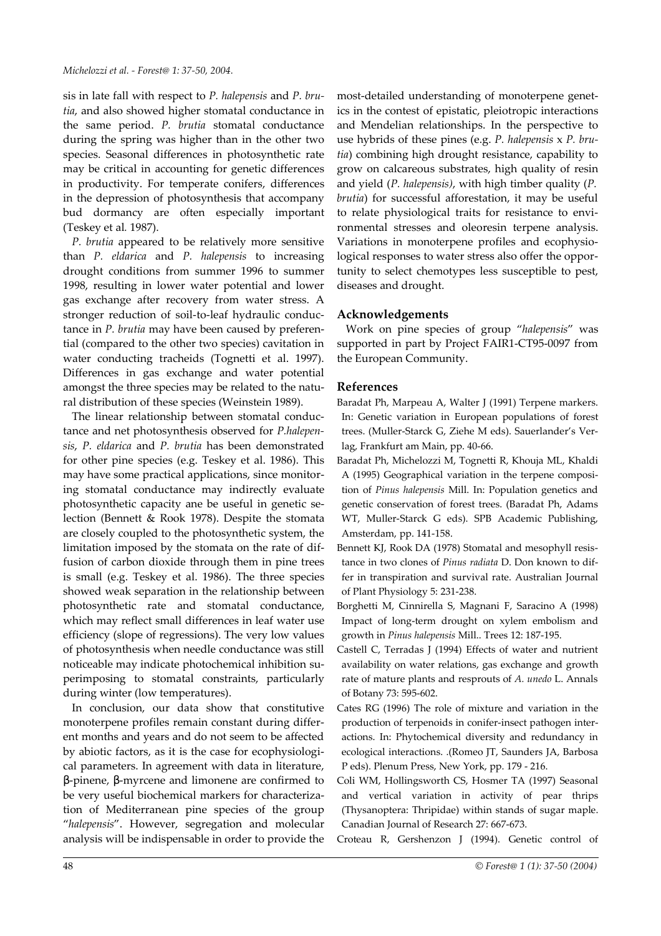sis in late fall with respect to *P. halepensis* and *P. brutia*, and also showed higher stomatal conductance in the same period. *P. brutia* stomatal conductance during the spring was higher than in the other two species. Seasonal differences in photosynthetic rate may be critical in accounting for genetic differences in productivity. For temperate conifers, differences in the depression of photosynthesis that accompany bud dormancy are often especially important (Teskey et al*.* 1987).

*P. brutia* appeared to be relatively more sensitive than *P. eldarica* and *P. halepensis* to increasing drought conditions from summer 1996 to summer 1998, resulting in lower water potential and lower gas exchange after recovery from water stress. A stronger reduction of soil-to-leaf hydraulic conductance in *P. brutia* may have been caused by preferential (compared to the other two species) cavitation in water conducting tracheids (Tognetti et al. 1997). Differences in gas exchange and water potential amongst the three species may be related to the natural distribution of these species (Weinstein 1989).

The linear relationship between stomatal conductance and net photosynthesis observed for *P.halepensis*, *P. eldarica* and *P. brutia* has been demonstrated for other pine species (e.g. Teskey et al. 1986). This may have some practical applications, since monitoring stomatal conductance may indirectly evaluate photosynthetic capacity ane be useful in genetic selection (Bennett & Rook 1978). Despite the stomata are closely coupled to the photosynthetic system, the limitation imposed by the stomata on the rate of diffusion of carbon dioxide through them in pine trees is small (e.g. Teskey et al. 1986). The three species showed weak separation in the relationship between photosynthetic rate and stomatal conductance, which may reflect small differences in leaf water use efficiency (slope of regressions). The very low values of photosynthesis when needle conductance was still noticeable may indicate photochemical inhibition superimposing to stomatal constraints, particularly during winter (low temperatures).

In conclusion, our data show that constitutive monoterpene profiles remain constant during different months and years and do not seem to be affected by abiotic factors, as it is the case for ecophysiological parameters. In agreement with data in literature, β-pinene, β-myrcene and limonene are confirmed to be very useful biochemical markers for characterization of Mediterranean pine species of the group "*halepensis*". However, segregation and molecular analysis will be indispensable in order to provide the most-detailed understanding of monoterpene genetics in the contest of epistatic, pleiotropic interactions and Mendelian relationships. In the perspective to use hybrids of these pines (e.g. *P. halepensis* x *P. brutia*) combining high drought resistance, capability to grow on calcareous substrates, high quality of resin and yield (*P. halepensis)*, with high timber quality (*P. brutia*) for successful afforestation, it may be useful to relate physiological traits for resistance to environmental stresses and oleoresin terpene analysis. Variations in monoterpene profiles and ecophysiological responses to water stress also offer the opportunity to select chemotypes less susceptible to pest, diseases and drought.

#### **Acknowledgements**

Work on pine species of group "*halepensis*" was supported in part by Project FAIR1-CT95-0097 from the European Community.

#### **References**

Baradat Ph, Marpeau A, Walter J (1991) Terpene markers. In: Genetic variation in European populations of forest trees. (Muller-Starck G, Ziehe M eds). Sauerlander's Verlag, Frankfurt am Main, pp. 40-66.

- Baradat Ph, Michelozzi M, Tognetti R, Khouja ML, Khaldi A (1995) Geographical variation in the terpene composition of *Pinus halepensis* Mill. In: Population genetics and genetic conservation of forest trees. (Baradat Ph, Adams WT, Muller-Starck G eds). SPB Academic Publishing, Amsterdam, pp. 141-158.
- Bennett KJ, Rook DA (1978) Stomatal and mesophyll resistance in two clones of *Pinus radiata* D. Don known to differ in transpiration and survival rate. Australian Journal of Plant Physiology 5: 231-238.
- Borghetti M, Cinnirella S, Magnani F, Saracino A (1998) Impact of long-term drought on xylem embolism and growth in *Pinus halepensis* Mill.. Trees 12: 187-195.
- Castell C, Terradas J (1994) Effects of water and nutrient availability on water relations, gas exchange and growth rate of mature plants and resprouts of *A. unedo* L. Annals of Botany 73: 595-602.
- Cates RG (1996) The role of mixture and variation in the production of terpenoids in conifer-insect pathogen interactions. In: Phytochemical diversity and redundancy in ecological interactions. .(Romeo JT, Saunders JA, Barbosa P eds). Plenum Press, New York, pp. 179 - 216.
- Coli WM, Hollingsworth CS, Hosmer TA (1997) Seasonal and vertical variation in activity of pear thrips (Thysanoptera: Thripidae) within stands of sugar maple. Canadian Journal of Research 27: 667-673.
- Croteau R, Gershenzon J (1994). Genetic control of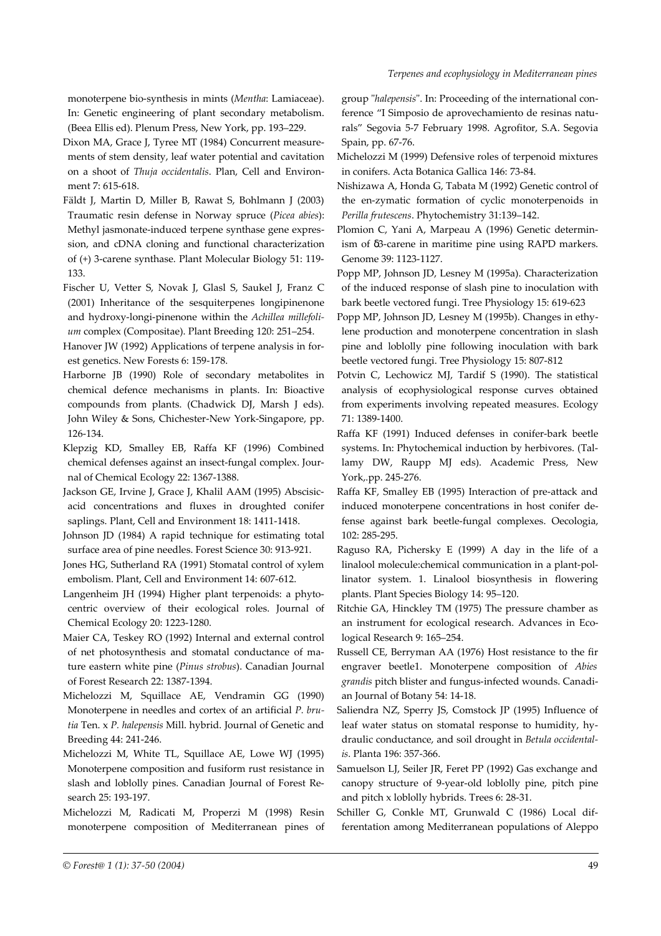monoterpene bio-synthesis in mints (*Mentha*: Lamiaceae). In: Genetic engineering of plant secondary metabolism. (Beea Ellis ed). Plenum Press, New York, pp. 193–229.

Dixon MA, Grace J, Tyree MT (1984) Concurrent measurements of stem density, leaf water potential and cavitation on a shoot of *Thuja occidentalis*. Plan, Cell and Environment 7: 615-618.

Fäldt J, Martin D, Miller B, Rawat S, Bohlmann J (2003) Traumatic resin defense in Norway spruce (*Picea abies*): Methyl jasmonate-induced terpene synthase gene expression, and cDNA cloning and functional characterization of (+) 3-carene synthase. Plant Molecular Biology 51: 119- 133.

Fischer U, Vetter S, Novak J, Glasl S, Saukel J, Franz C (2001) Inheritance of the sesquiterpenes longipinenone and hydroxy-longi-pinenone within the *Achillea millefolium* complex (Compositae). Plant Breeding 120: 251–254.

Hanover JW (1992) Applications of terpene analysis in forest genetics. New Forests 6: 159-178.

Harborne JB (1990) Role of secondary metabolites in chemical defence mechanisms in plants. In: Bioactive compounds from plants. (Chadwick DJ, Marsh J eds). John Wiley & Sons, Chichester-New York-Singapore, pp. 126-134.

Klepzig KD, Smalley EB, Raffa KF (1996) Combined chemical defenses against an insect-fungal complex. Journal of Chemical Ecology 22: 1367-1388.

Jackson GE, Irvine J, Grace J, Khalil AAM (1995) Abscisicacid concentrations and fluxes in droughted conifer saplings. Plant, Cell and Environment 18: 1411-1418.

Johnson JD (1984) A rapid technique for estimating total surface area of pine needles. Forest Science 30: 913-921.

Jones HG, Sutherland RA (1991) Stomatal control of xylem embolism. Plant, Cell and Environment 14: 607-612.

Langenheim JH (1994) Higher plant terpenoids: a phytocentric overview of their ecological roles. Journal of Chemical Ecology 20: 1223-1280.

Maier CA, Teskey RO (1992) Internal and external control of net photosynthesis and stomatal conductance of mature eastern white pine (*Pinus strobus*). Canadian Journal of Forest Research 22: 1387-1394.

Michelozzi M, Squillace AE, Vendramin GG (1990) Monoterpene in needles and cortex of an artificial *P. brutia* Ten. x *P. halepensis* Mill. hybrid. Journal of Genetic and Breeding 44: 241-246.

Michelozzi M, White TL, Squillace AE, Lowe WJ (1995) Monoterpene composition and fusiform rust resistance in slash and loblolly pines. Canadian Journal of Forest Research 25: 193-197.

Michelozzi M, Radicati M, Properzi M (1998) Resin monoterpene composition of Mediterranean pines of group "*halepensis*". In: Proceeding of the international conference "I Simposio de aprovechamiento de resinas naturals" Segovia 5-7 February 1998. Agrofitor, S.A. Segovia Spain, pp. 67-76.

Michelozzi M (1999) Defensive roles of terpenoid mixtures in conifers. Acta Botanica Gallica 146: 73-84.

Nishizawa A, Honda G, Tabata M (1992) Genetic control of the en-zymatic formation of cyclic monoterpenoids in *Perilla frutescens*. Phytochemistry 31:139–142.

Plomion C, Yani A, Marpeau A (1996) Genetic determinism of δ3-carene in maritime pine using RAPD markers. Genome 39: 1123-1127.

Popp MP, Johnson JD, Lesney M (1995a). Characterization of the induced response of slash pine to inoculation with bark beetle vectored fungi. Tree Physiology 15: 619-623

Popp MP, Johnson JD, Lesney M (1995b). Changes in ethylene production and monoterpene concentration in slash pine and loblolly pine following inoculation with bark beetle vectored fungi. Tree Physiology 15: 807-812

Potvin C, Lechowicz MJ, Tardif S (1990). The statistical analysis of ecophysiological response curves obtained from experiments involving repeated measures. Ecology 71: 1389-1400.

Raffa KF (1991) Induced defenses in conifer-bark beetle systems. In: Phytochemical induction by herbivores. (Tallamy DW, Raupp MJ eds). Academic Press, New York,.pp. 245-276.

Raffa KF, Smalley EB (1995) Interaction of pre-attack and induced monoterpene concentrations in host conifer defense against bark beetle-fungal complexes. Oecologia, 102: 285-295.

Raguso RA, Pichersky E (1999) A day in the life of a linalool molecule:chemical communication in a plant-pollinator system. 1. Linalool biosynthesis in flowering plants. Plant Species Biology 14: 95–120.

Ritchie GA, Hinckley TM (1975) The pressure chamber as an instrument for ecological research. Advances in Ecological Research 9: 165–254.

Russell CE, Berryman AA (1976) Host resistance to the fir engraver beetle1. Monoterpene composition of *Abies grandis* pitch blister and fungus-infected wounds. Canadian Journal of Botany 54: 14-18.

Saliendra NZ, Sperry JS, Comstock JP (1995) Influence of leaf water status on stomatal response to humidity, hydraulic conductance, and soil drought in *Betula occidentalis*. Planta 196: 357-366.

Samuelson LJ, Seiler JR, Feret PP (1992) Gas exchange and canopy structure of 9-year-old loblolly pine, pitch pine and pitch x loblolly hybrids. Trees 6: 28-31.

Schiller G, Conkle MT, Grunwald C (1986) Local differentation among Mediterranean populations of Aleppo